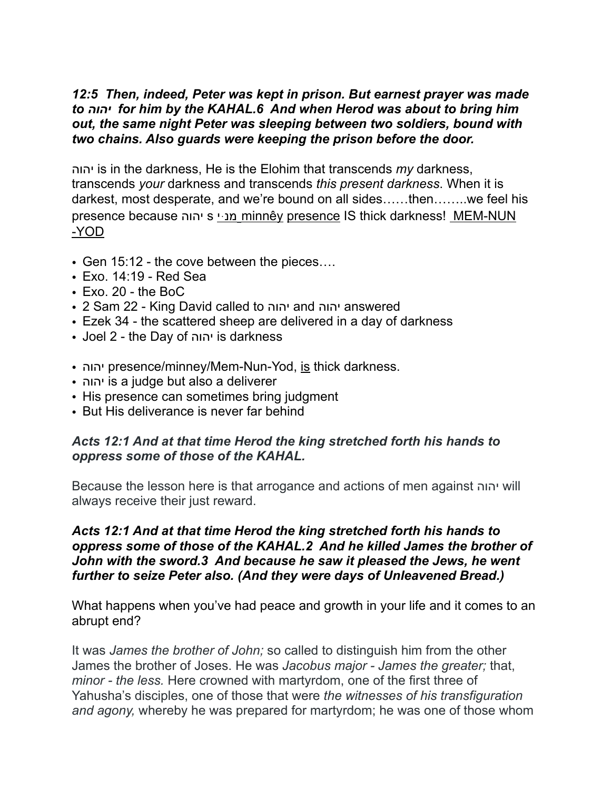### *12:5 Then, indeed, Peter was kept in prison. But earnest prayer was made to יהוה for him by the KAHAL.6 And when Herod was about to bring him out, the same night Peter was sleeping between two soldiers, bound with two chains. Also guards were keeping the prison before the door.*

יהוה is in the darkness, He is the Elohim that transcends *my* darkness, transcends *your* darkness and transcends *this present darkness*. When it is darkest, most desperate, and we're bound on all sides……then……..we feel his presence because יהוה s יּמנ minnêy presence IS thick darkness! MEM-NUN -YOD

- Gen 15:12 the cove between the pieces....
- Exo. 14:19 Red Sea
- Exo. 20 the BoC
- 2 Sam 22 King David called to יהוה and יהוה answered
- Ezek 34 the scattered sheep are delivered in a day of darkness
- Joel 2 the Day of יהוה is darkness
- יהוה presence/minney/Mem-Nun-Yod, is thick darkness.
- יהוה is a judge but also a deliverer
- His presence can sometimes bring judgment
- But His deliverance is never far behind

### *Acts 12:1 And at that time Herod the king stretched forth his hands to oppress some of those of the KAHAL.*

Because the lesson here is that arrogance and actions of men against יהוה will always receive their just reward.

### *Acts 12:1 And at that time Herod the king stretched forth his hands to oppress some of those of the KAHAL.2 And he killed James the brother of John with the sword.3 And because he saw it pleased the Jews, he went further to seize Peter also. (And they were days of Unleavened Bread.)*

What happens when you've had peace and growth in your life and it comes to an abrupt end?

It was *James the brother of John;* so called to distinguish him from the other James the brother of Joses. He was *Jacobus major - James the greater;* that, *minor - the less.* Here crowned with martyrdom, one of the first three of Yahusha's disciples, one of those that were *the witnesses of his transfiguration and agony,* whereby he was prepared for martyrdom; he was one of those whom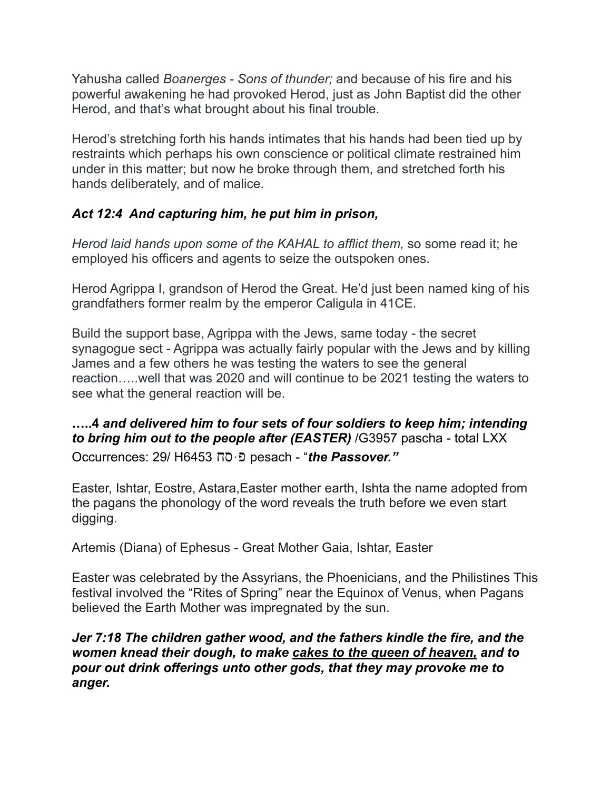Yahusha called *Boanerges - Sons of thunder;* and because of his fire and his powerful awakening he had provoked Herod, just as John Baptist did the other Herod, and that's what brought about his final trouble.

Herod's stretching forth his hands intimates that his hands had been tied up by restraints which perhaps his own conscience or political climate restrained him under in this matter; but now he broke through them, and stretched forth his hands deliberately, and of malice.

## *Act 12:4 And capturing him, he put him in prison,*

*Herod laid hands upon some of the KAHAL to afflict them,* so some read it; he employed his officers and agents to seize the outspoken ones.

Herod Agrippa I, grandson of Herod the Great. He'd just been named king of his grandfathers former realm by the emperor Caligula in 41CE.

Build the support base, Agrippa with the Jews, same today - the secret synagogue sect - Agrippa was actually fairly popular with the Jews and by killing James and a few others he was testing the waters to see the general reaction…..well that was 2020 and will continue to be 2021 testing the waters to see what the general reaction will be.

# **…..4** *and delivered him to four sets of four soldiers to keep him; intending to bring him out to the people after (EASTER)* /G3957 pascha - total LXX

Occurrences: 29/ H6453 סחּפ pesach - "*the Passover."*

Easter, Ishtar, Eostre, Astara,Easter mother earth, Ishta the name adopted from the pagans the phonology of the word reveals the truth before we even start digging.

Artemis (Diana) of Ephesus - Great Mother Gaia, Ishtar, Easter

Easter was celebrated by the Assyrians, the Phoenicians, and the Philistines This festival involved the "Rites of Spring" near the Equinox of Venus, when Pagans believed the Earth Mother was impregnated by the sun.

### *Jer 7:18 The children gather wood, and the fathers kindle the fire, and the women knead their dough, to make cakes to the queen of heaven, and to pour out drink offerings unto other gods, that they may provoke me to anger.*